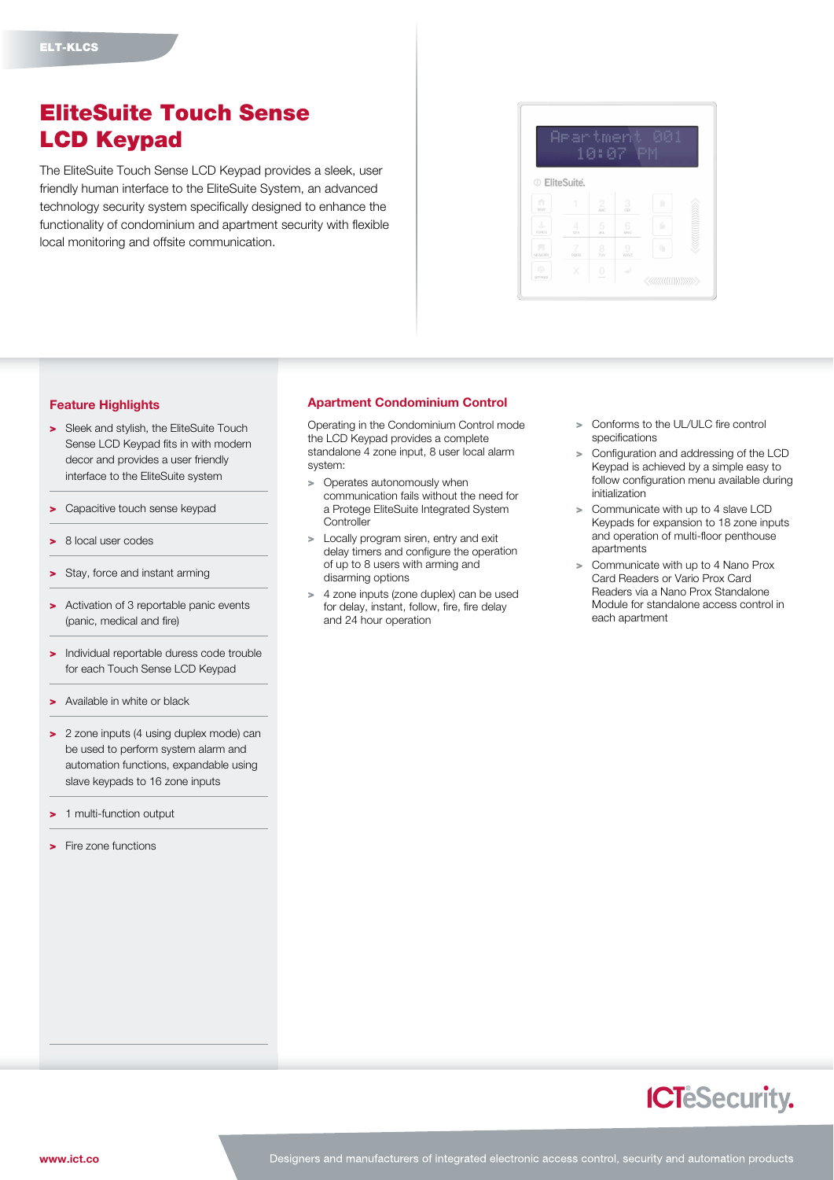## EliteSuite Touch Sense LCD Keypad

The EliteSuite Touch Sense LCD Keypad provides a sleek, user friendly human interface to the EliteSuite System, an advanced technology security system specifically designed to enhance the functionality of condominium and apartment security with flexible local monitoring and offsite communication.



## Feature Highlights

- > Sleek and stylish, the EliteSuite Touch Sense LCD Keypad fits in with modern decor and provides a user friendly interface to the EliteSuite system
- > Capacitive touch sense keypad
- > 8 local user codes
- > Stay, force and instant arming
- > Activation of 3 reportable panic events (panic, medical and fire)
- > Individual reportable duress code trouble for each Touch Sense LCD Keypad
- > Available in white or black
- > 2 zone inputs (4 using duplex mode) can be used to perform system alarm and automation functions, expandable using slave keypads to 16 zone inputs
- 1 multi-function output
- > Fire zone functions

## Apartment Condominium Control

Operating in the Condominium Control mode the LCD Keypad provides a complete standalone 4 zone input, 8 user local alarm system:

- > Operates autonomously when communication fails without the need for a Protege EliteSuite Integrated System **Controller**
- > Locally program siren, entry and exit delay timers and configure the operation of up to 8 users with arming and disarming options
- > 4 zone inputs (zone duplex) can be used for delay, instant, follow, fire, fire delay and 24 hour operation
- Conforms to the UL/ULC fire control specifications
- > Configuration and addressing of the LCD Keypad is achieved by a simple easy to follow configuration menu available during initialization
- > Communicate with up to 4 slave LCD Keypads for expansion to 18 zone inputs and operation of multi-floor penthouse apartments
- Communicate with up to 4 Nano Prox Card Readers or Vario Prox Card Readers via a Nano Prox Standalone Module for standalone access control in each apartment